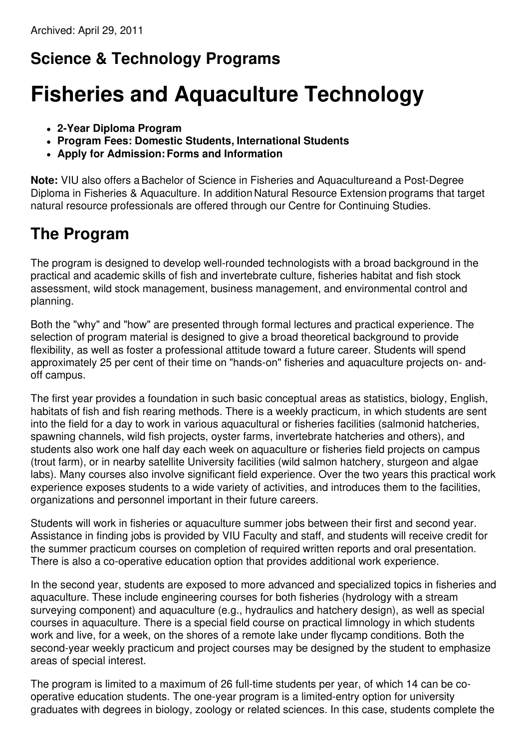# **Science & Technology Programs**

# **Fisheries and Aquaculture Technology**

- **2-Year Diploma Program**
- **Program Fees: Domestic Students, International Students**
- **Apply for Admission:Forms and Information**

**Note:** VIU also offers aBachelor of Science in Fisheries and Aquacultureand a Post-Degree Diploma in Fisheries & Aquaculture. In addition Natural Resource Extension programs that target natural resource professionals are offered through our Centre for Continuing Studies.

# **The Program**

The program is designed to develop well-rounded technologists with a broad background in the practical and academic skills of fish and invertebrate culture, fisheries habitat and fish stock assessment, wild stock management, business management, and environmental control and planning.

Both the "why" and "how" are presented through formal lectures and practical experience. The selection of program material is designed to give a broad theoretical background to provide flexibility, as well as foster a professional attitude toward a future career. Students will spend approximately 25 per cent of their time on "hands-on" fisheries and aquaculture projects on- andoff campus.

The first year provides a foundation in such basic conceptual areas as statistics, biology, English, habitats of fish and fish rearing methods. There is a weekly practicum, in which students are sent into the field for a day to work in various aquacultural or fisheries facilities (salmonid hatcheries, spawning channels, wild fish projects, oyster farms, invertebrate hatcheries and others), and students also work one half day each week on aquaculture or fisheries field projects on campus (trout farm), or in nearby satellite University facilities (wild salmon hatchery, sturgeon and algae labs). Many courses also involve significant field experience. Over the two years this practical work experience exposes students to a wide variety of activities, and introduces them to the facilities, organizations and personnel important in their future careers.

Students will work in fisheries or aquaculture summer jobs between their first and second year. Assistance in finding jobs is provided by VIU Faculty and staff, and students will receive credit for the summer practicum courses on completion of required written reports and oral presentation. There is also a co-operative education option that provides additional work experience.

In the second year, students are exposed to more advanced and specialized topics in fisheries and aquaculture. These include engineering courses for both fisheries (hydrology with a stream surveying component) and aquaculture (e.g., hydraulics and hatchery design), as well as special courses in aquaculture. There is a special field course on practical limnology in which students work and live, for a week, on the shores of a remote lake under flycamp conditions. Both the second-year weekly practicum and project courses may be designed by the student to emphasize areas of special interest.

The program is limited to a maximum of 26 full-time students per year, of which 14 can be cooperative education students. The one-year program is a limited-entry option for university graduates with degrees in biology, zoology or related sciences. In this case, students complete the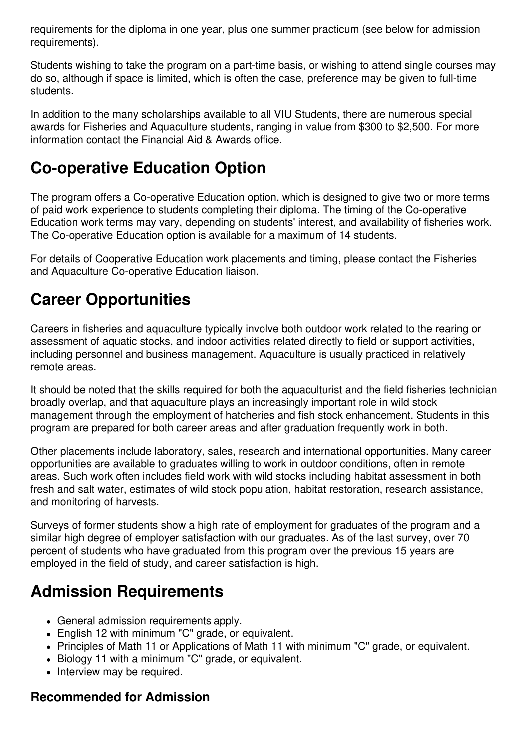requirements for the diploma in one year, plus one summer practicum (see below for admission requirements).

Students wishing to take the program on a part-time basis, or wishing to attend single courses may do so, although if space is limited, which is often the case, preference may be given to full-time students.

In addition to the many scholarships available to all VIU Students, there are numerous special awards for Fisheries and Aquaculture students, ranging in value from \$300 to \$2,500. For more information contact the Financial Aid & Awards office.

# **Co-operative Education Option**

The program offers a Co-operative Education option, which is designed to give two or more terms of paid work experience to students completing their diploma. The timing of the Co-operative Education work terms may vary, depending on students' interest, and availability of fisheries work. The Co-operative Education option is available for a maximum of 14 students.

For details of Cooperative Education work placements and timing, please contact the Fisheries and Aquaculture Co-operative Education liaison.

# **Career Opportunities**

Careers in fisheries and aquaculture typically involve both outdoor work related to the rearing or assessment of aquatic stocks, and indoor activities related directly to field or support activities, including personnel and business management. Aquaculture is usually practiced in relatively remote areas.

It should be noted that the skills required for both the aquaculturist and the field fisheries technician broadly overlap, and that aquaculture plays an increasingly important role in wild stock management through the employment of hatcheries and fish stock enhancement. Students in this program are prepared for both career areas and after graduation frequently work in both.

Other placements include laboratory, sales, research and international opportunities. Many career opportunities are available to graduates willing to work in outdoor conditions, often in remote areas. Such work often includes field work with wild stocks including habitat assessment in both fresh and salt water, estimates of wild stock population, habitat restoration, research assistance, and monitoring of harvests.

Surveys of former students show a high rate of employment for graduates of the program and a similar high degree of employer satisfaction with our graduates. As of the last survey, over 70 percent of students who have graduated from this program over the previous 15 years are employed in the field of study, and career satisfaction is high.

# **Admission Requirements**

- General admission requirements apply.
- English 12 with minimum "C" grade, or equivalent.
- Principles of Math 11 or Applications of Math 11 with minimum "C" grade, or equivalent.
- Biology 11 with a minimum "C" grade, or equivalent.
- Interview may be required.

#### **Recommended for Admission**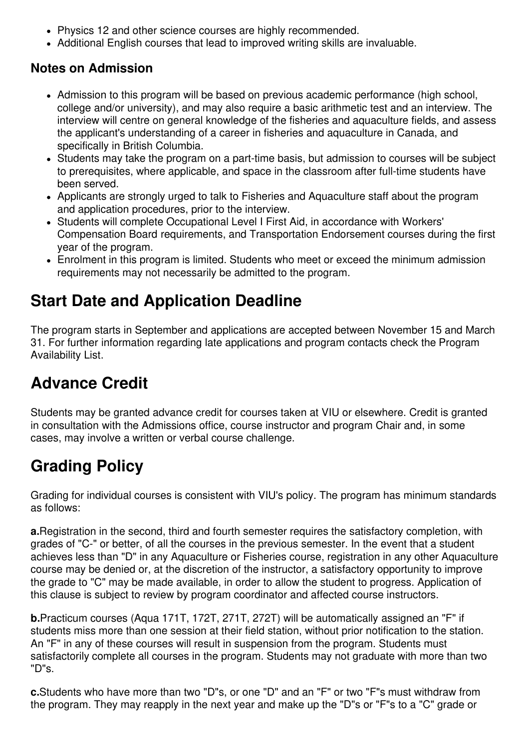- Physics 12 and other science courses are highly recommended.
- Additional English courses that lead to improved writing skills are invaluable.

### **Notes on Admission**

- Admission to this program will be based on previous academic performance (high school, college and/or university), and may also require a basic arithmetic test and an interview. The interview will centre on general knowledge of the fisheries and aquaculture fields, and assess the applicant's understanding of a career in fisheries and aquaculture in Canada, and specifically in British Columbia.
- Students may take the program on a part-time basis, but admission to courses will be subject to prerequisites, where applicable, and space in the classroom after full-time students have been served.
- Applicants are strongly urged to talk to Fisheries and Aquaculture staff about the program and application procedures, prior to the interview.
- Students will complete Occupational Level I First Aid, in accordance with Workers' Compensation Board requirements, and Transportation Endorsement courses during the first year of the program.
- Enrolment in this program is limited. Students who meet or exceed the minimum admission requirements may not necessarily be admitted to the program.

# **Start Date and Application Deadline**

The program starts in September and applications are accepted between November 15 and March 31. For further information regarding late applications and program contacts check the Program Availability List.

# **Advance Credit**

Students may be granted advance credit for courses taken at VIU or elsewhere. Credit is granted in consultation with the Admissions office, course instructor and program Chair and, in some cases, may involve a written or verbal course challenge.

# **Grading Policy**

Grading for individual courses is consistent with VIU's policy. The program has minimum standards as follows:

**a.**Registration in the second, third and fourth semester requires the satisfactory completion, with grades of "C-" or better, of all the courses in the previous semester. In the event that a student achieves less than "D" in any Aquaculture or Fisheries course, registration in any other Aquaculture course may be denied or, at the discretion of the instructor, a satisfactory opportunity to improve the grade to "C" may be made available, in order to allow the student to progress. Application of this clause is subject to review by program coordinator and affected course instructors.

**b.**Practicum courses (Aqua 171T, 172T, 271T, 272T) will be automatically assigned an "F" if students miss more than one session at their field station, without prior notification to the station. An "F" in any of these courses will result in suspension from the program. Students must satisfactorily complete all courses in the program. Students may not graduate with more than two "D"s.

**c.**Students who have more than two "D"s, or one "D" and an "F" or two "F"s must withdraw from the program. They may reapply in the next year and make up the "D"s or "F"s to a "C" grade or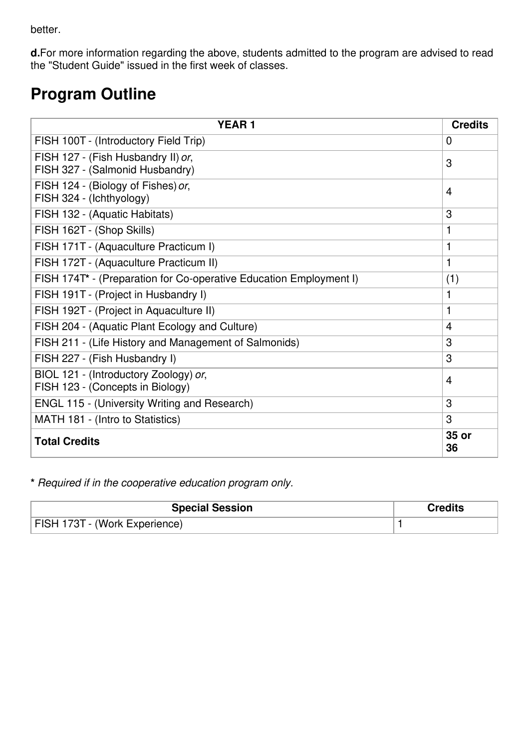better.

**d.**For more information regarding the above, students admitted to the program are advised to read the "Student Guide" issued in the first week of classes.

# **Program Outline**

| <b>YEAR1</b>                                                              | <b>Credits</b> |
|---------------------------------------------------------------------------|----------------|
| FISH 100T - (Introductory Field Trip)                                     | $\mathbf{0}$   |
| FISH 127 - (Fish Husbandry II) or,<br>FISH 327 - (Salmonid Husbandry)     | 3              |
| FISH 124 - (Biology of Fishes) or,<br>FISH 324 - (Ichthyology)            | 4              |
| FISH 132 - (Aquatic Habitats)                                             | 3              |
| FISH 162T - (Shop Skills)                                                 | 1              |
| FISH 171T - (Aquaculture Practicum I)                                     | 1              |
| FISH 172T - (Aquaculture Practicum II)                                    | 1              |
| FISH 174T* - (Preparation for Co-operative Education Employment I)        | (1)            |
| FISH 191T - (Project in Husbandry I)                                      | 1              |
| FISH 192T - (Project in Aquaculture II)                                   | 1              |
| FISH 204 - (Aquatic Plant Ecology and Culture)                            | $\overline{4}$ |
| FISH 211 - (Life History and Management of Salmonids)                     | 3              |
| FISH 227 - (Fish Husbandry I)                                             | 3              |
| BIOL 121 - (Introductory Zoology) or,<br>FISH 123 - (Concepts in Biology) | 4              |
| ENGL 115 - (University Writing and Research)                              | 3              |
| MATH 181 - (Intro to Statistics)                                          | 3              |
| <b>Total Credits</b>                                                      | 35 or<br>36    |

**\*** *Required if in the cooperative education program only.*

| <b>Special Session</b>        | <b>Credits</b> |
|-------------------------------|----------------|
| FISH 173T - (Work Experience) |                |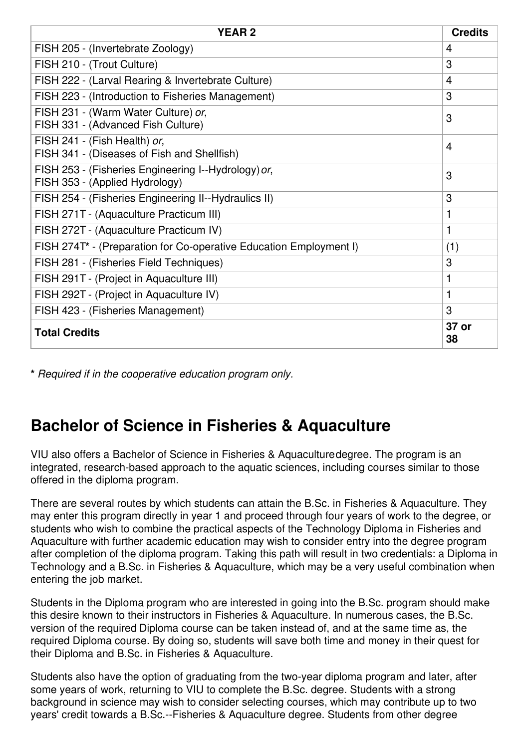| <b>YEAR2</b>                                                                          | <b>Credits</b> |
|---------------------------------------------------------------------------------------|----------------|
| FISH 205 - (Invertebrate Zoology)                                                     | 4              |
| FISH 210 - (Trout Culture)                                                            | 3              |
| FISH 222 - (Larval Rearing & Invertebrate Culture)                                    | $\overline{4}$ |
| FISH 223 - (Introduction to Fisheries Management)                                     | 3              |
| FISH 231 - (Warm Water Culture) or,<br>FISH 331 - (Advanced Fish Culture)             | 3              |
| FISH 241 - (Fish Health) or,<br>FISH 341 - (Diseases of Fish and Shellfish)           | 4              |
| FISH 253 - (Fisheries Engineering I--Hydrology) or,<br>FISH 353 - (Applied Hydrology) | 3              |
| FISH 254 - (Fisheries Engineering II--Hydraulics II)                                  | 3              |
| FISH 271T - (Aquaculture Practicum III)                                               | 1              |
| FISH 272T - (Aquaculture Practicum IV)                                                | 1              |
| FISH 274T* - (Preparation for Co-operative Education Employment I)                    | (1)            |
| FISH 281 - (Fisheries Field Techniques)                                               | 3              |
| FISH 291T - (Project in Aquaculture III)                                              | 1              |
| FISH 292T - (Project in Aquaculture IV)                                               | 1              |
| FISH 423 - (Fisheries Management)                                                     | 3              |
| <b>Total Credits</b>                                                                  | 37 or<br>38    |

**\*** *Required if in the cooperative education program only.*

# **Bachelor of Science in Fisheries & Aquaculture**

VIU also offers a Bachelor of Science in Fisheries & Aquaculturedegree. The program is an integrated, research-based approach to the aquatic sciences, including courses similar to those offered in the diploma program.

There are several routes by which students can attain the B.Sc. in Fisheries & Aquaculture. They may enter this program directly in year 1 and proceed through four years of work to the degree, or students who wish to combine the practical aspects of the Technology Diploma in Fisheries and Aquaculture with further academic education may wish to consider entry into the degree program after completion of the diploma program. Taking this path will result in two credentials: a Diploma in Technology and a B.Sc. in Fisheries & Aquaculture, which may be a very useful combination when entering the job market.

Students in the Diploma program who are interested in going into the B.Sc. program should make this desire known to their instructors in Fisheries & Aquaculture. In numerous cases, the B.Sc. version of the required Diploma course can be taken instead of, and at the same time as, the required Diploma course. By doing so, students will save both time and money in their quest for their Diploma and B.Sc. in Fisheries & Aquaculture.

Students also have the option of graduating from the two-year diploma program and later, after some years of work, returning to VIU to complete the B.Sc. degree. Students with a strong background in science may wish to consider selecting courses, which may contribute up to two years' credit towards a B.Sc.--Fisheries & Aquaculture degree. Students from other degree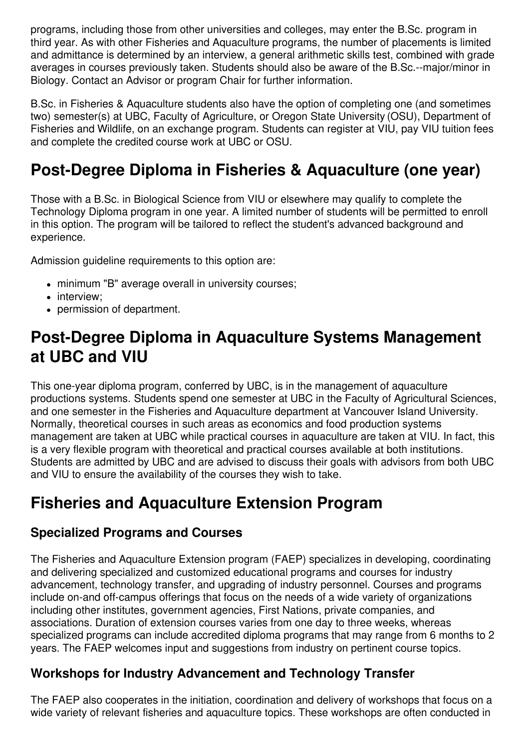programs, including those from other universities and colleges, may enter the B.Sc. program in third year. As with other Fisheries and Aquaculture programs, the number of placements is limited and admittance is determined by an interview, a general arithmetic skills test, combined with grade averages in courses previously taken. Students should also be aware of the B.Sc.--major/minor in Biology. Contact an Advisor or program Chair for further information.

B.Sc. in Fisheries & Aquaculture students also have the option of completing one (and sometimes two) semester(s) at UBC, Faculty of Agriculture, or Oregon State University (OSU), Department of Fisheries and Wildlife, on an exchange program. Students can register at VIU, pay VIU tuition fees and complete the credited course work at UBC or OSU.

# **Post-Degree Diploma in Fisheries & Aquaculture (one year)**

Those with a B.Sc. in Biological Science from VIU or elsewhere may qualify to complete the Technology Diploma program in one year. A limited number of students will be permitted to enroll in this option. The program will be tailored to reflect the student's advanced background and experience.

Admission guideline requirements to this option are:

- minimum "B" average overall in university courses;
- interview;
- permission of department.

### **Post-Degree Diploma in Aquaculture Systems Management at UBC and VIU**

This one-year diploma program, conferred by UBC, is in the management of aquaculture productions systems. Students spend one semester at UBC in the Faculty of Agricultural Sciences, and one semester in the Fisheries and Aquaculture department at Vancouver Island University. Normally, theoretical courses in such areas as economics and food production systems management are taken at UBC while practical courses in aquaculture are taken at VIU. In fact, this is a very flexible program with theoretical and practical courses available at both institutions. Students are admitted by UBC and are advised to discuss their goals with advisors from both UBC and VIU to ensure the availability of the courses they wish to take.

### **Fisheries and Aquaculture Extension Program**

#### **Specialized Programs and Courses**

The Fisheries and Aquaculture Extension program (FAEP) specializes in developing, coordinating and delivering specialized and customized educational programs and courses for industry advancement, technology transfer, and upgrading of industry personnel. Courses and programs include on-and off-campus offerings that focus on the needs of a wide variety of organizations including other institutes, government agencies, First Nations, private companies, and associations. Duration of extension courses varies from one day to three weeks, whereas specialized programs can include accredited diploma programs that may range from 6 months to 2 years. The FAEP welcomes input and suggestions from industry on pertinent course topics.

#### **Workshops for Industry Advancement and Technology Transfer**

The FAEP also cooperates in the initiation, coordination and delivery of workshops that focus on a wide variety of relevant fisheries and aquaculture topics. These workshops are often conducted in